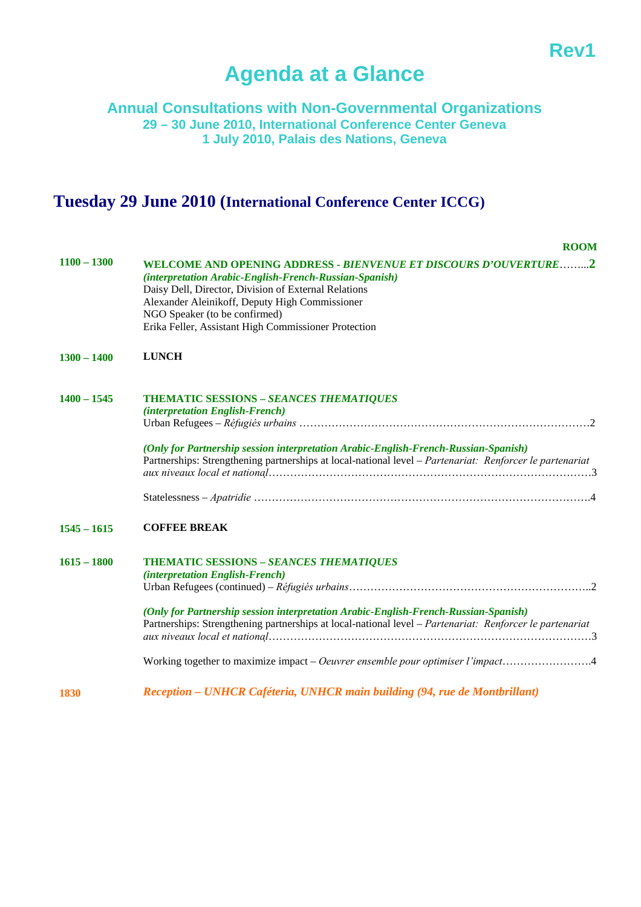## **Rev1 Rev1**

# **Agenda at a Glance**

#### **Annual Consultations with Non-Governmental Organizations 29 – 30 June 2010, International Conference Center Geneva 1 July 2010, Palais des Nations, Geneva**

## **Tuesday 29 June 2010 (International Conference Center ICCG)**

|               | <b>ROOM</b>                                                                                                                                                                                                                                                                                                                                                            |
|---------------|------------------------------------------------------------------------------------------------------------------------------------------------------------------------------------------------------------------------------------------------------------------------------------------------------------------------------------------------------------------------|
| $1100 - 1300$ | WELCOME AND OPENING ADDRESS - BIENVENUE ET DISCOURS D'OUVERTURE2<br>(interpretation Arabic-English-French-Russian-Spanish)<br>Daisy Dell, Director, Division of External Relations<br>Alexander Aleinikoff, Deputy High Commissioner<br>NGO Speaker (to be confirmed)<br>Erika Feller, Assistant High Commissioner Protection                                          |
| $1300 - 1400$ | <b>LUNCH</b>                                                                                                                                                                                                                                                                                                                                                           |
| $1400 - 1545$ | <b>THEMATIC SESSIONS - SEANCES THEMATIQUES</b><br>(interpretation English-French)<br>(Only for Partnership session interpretation Arabic-English-French-Russian-Spanish)<br>Partnerships: Strengthening partnerships at local-national level – Partenariat: Renforcer le partenariat                                                                                   |
| $1545 - 1615$ | <b>COFFEE BREAK</b>                                                                                                                                                                                                                                                                                                                                                    |
| $1615 - 1800$ | <b>THEMATIC SESSIONS - SEANCES THEMATIQUES</b><br>(interpretation English-French)<br>(Only for Partnership session interpretation Arabic-English-French-Russian-Spanish)<br>Partnerships: Strengthening partnerships at local-national level – Partenariat: Renforcer le partenariat<br>Working together to maximize impact – Oeuvrer ensemble pour optimiser l'impact |

**1830**  *Reception – UNHCR Caféteria, UNHCR main building (94, rue de Montbrillant)*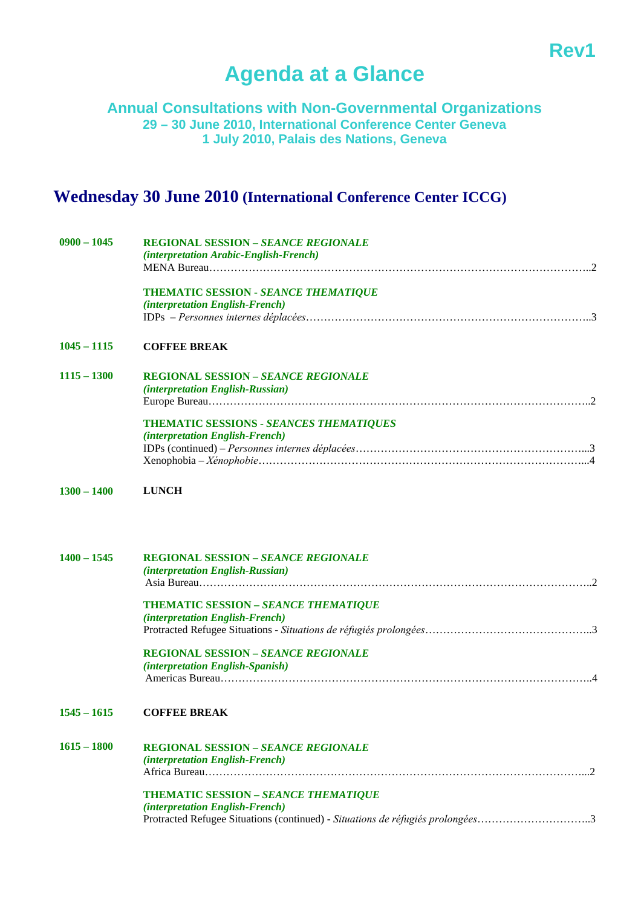## **Rev1 Rev1**

## **Agenda at a Glance**

**Annual Consultations with Non-Governmental Organizations 29 – 30 June 2010, International Conference Center Geneva 1 July 2010, Palais des Nations, Geneva** 

### **Wednesday 30 June 2010 (International Conference Center ICCG)**

| $0900 - 1045$ | <b>REGIONAL SESSION - SEANCE REGIONALE</b>  |
|---------------|---------------------------------------------|
|               | (interpretation Arabic-English-French)      |
|               |                                             |
|               | <b>THEMATIC SESSION - SEANCE THEMATIQUE</b> |
|               | (interpretation English-French)             |
|               |                                             |
| $1045 - 1115$ | <b>COFFEE BREAK</b>                         |
| $1115 - 1300$ | <b>REGIONAL SESSION - SEANCE REGIONALE</b>  |
|               | (interpretation English-Russian)            |
|               |                                             |
|               | THEMATIC SESSIONS - SEANCES THEMATIQUES     |
|               | (interpretation English-French)             |
|               |                                             |
|               |                                             |
| $1300 - 1400$ | <b>LUNCH</b>                                |
|               |                                             |
| $1400 - 1545$ | <b>REGIONAL SESSION - SEANCE REGIONALE</b>  |
|               | (interpretation English-Russian)            |
|               |                                             |
|               | <b>THEMATIC SESSION - SEANCE THEMATIQUE</b> |

*(interpretation English-French)* Protracted Refugee Situations - *Situations de réfugiés prolongées*………………………………………..3

**REGIONAL SESSION –** *SEANCE REGIONALE (interpretation English-Spanish)*  Americas Bureau…………………………………………………………………………………………..4

#### **1545 – 1615 COFFEE BREAK**

| $1615 - 1800$ | <b>REGIONAL SESSION - SEANCE REGIONALE</b>                                     |  |
|---------------|--------------------------------------------------------------------------------|--|
|               | <i>(interpretation English-French)</i>                                         |  |
|               |                                                                                |  |
|               | <b>THEMATIC SESSION - SEANCE THEMATIQUE</b>                                    |  |
|               | <i>(interpretation English-French)</i>                                         |  |
|               | Protracted Refugee Situations (continued) - Situations de réfugiés prolongées3 |  |